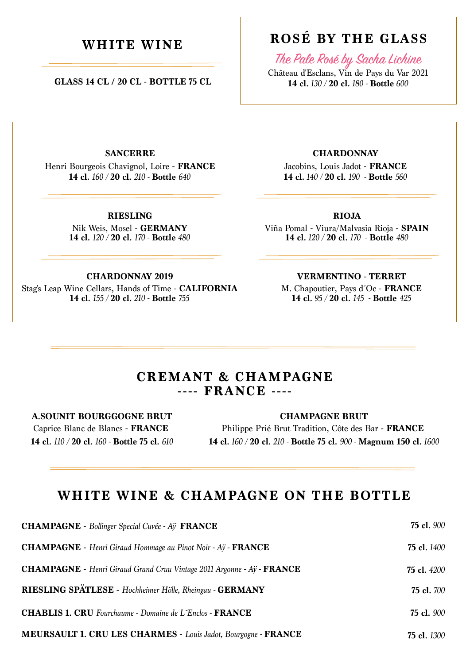**GLASS 14 CL / 20 CL - BOTTLE 75 CL**

### **WHITE WINE ROSÉ BY THE GLASS**

The Pale Rosé by Sacha Lichine

Château d'Esclans, Vin de Pays du Var 2021 **14 cl.** *130 /* **20 cl.** *180 -* **Bottle** *600*

**SANCERRE**

Henri Bourgeois Chavignol, Loire - **FRANCE 14 cl.** *160 /* **20 cl.** *210 -* **Bottle** *640*

> **14 cl.** *120 /* **20 cl.** *170 -* **Bottle** *480* Nik Weis, Mosel - **GERMANY RIESLING**

> > **CHARDONNAY 2019**

**14 cl.** *155 /* **20 cl.** *210 -* **Bottle** *755* Stag's Leap Wine Cellars, Hands of Time - **CALIFORNIA** **CHARDONNAY**

**14 cl.** *140 /* **20 cl.** *190 -* **Bottle** *560* Jacobins, Louis Jadot - **FRANCE**

#### **RIOJA**

**14 cl.** *120 /* **20 cl.** *170 -* **Bottle** *480* Viña Pomal - Viura/Malvasia Rioja - **SPAIN**

#### **VERMENTINO - TERRET**

**14 cl.** *95 /* **20 cl.** *145 -* **Bottle** *425* M. Chapoutier, Pays d´Oc - **FRANCE**

### **CREMANT & CHAMPAGNE ---- FRANCE ----**

#### **A.SOUNIT BOURGGOGNE BRUT**

Caprice Blanc de Blancs - **FRANCE 14 cl.** *110 /* **20 cl.** *160 -* **Bottle 75 cl.** *610* Philippe Prié Brut Tradition, Côte des Bar - **FRANCE CHAMPAGNE BRUT**

**14 cl.** *160 /* **20 cl.** *210 -* **Bottle 75 cl.** *900 -* **Magnum 150 cl.** *1600*

### **WHITE WINE & CHAMPAGNE ON THE BOTTLE**

| <b>CHAMPAGNE</b> - Bollinger Special Cuvée - Aÿ FRANCE                               | <b>75 cl.</b> 900  |
|--------------------------------------------------------------------------------------|--------------------|
| <b>CHAMPAGNE</b> - Henri Giraud Hommage au Pinot Noir - Ay - <b>FRANCE</b>           | <b>75 cl.</b> 1400 |
| <b>CHAMPAGNE</b> - Henri Giraud Grand Cruu Vintage 2011 Argonne - Ay - <b>FRANCE</b> | <b>75 cl.</b> 4200 |
| RIESLING SPÄTLESE - Hochheimer Hölle, Rheingau - GERMANY                             | <b>75 cl.</b> 700  |
| <b>CHABLIS 1. CRU</b> Fourchaume - Domaine de L'Enclos - FRANCE                      | <b>75 cl.</b> 900  |
| <b>MEURSAULT 1. CRU LES CHARMES - Louis Jadot, Bourgogne - FRANCE</b>                | <b>75 cl.</b> 1300 |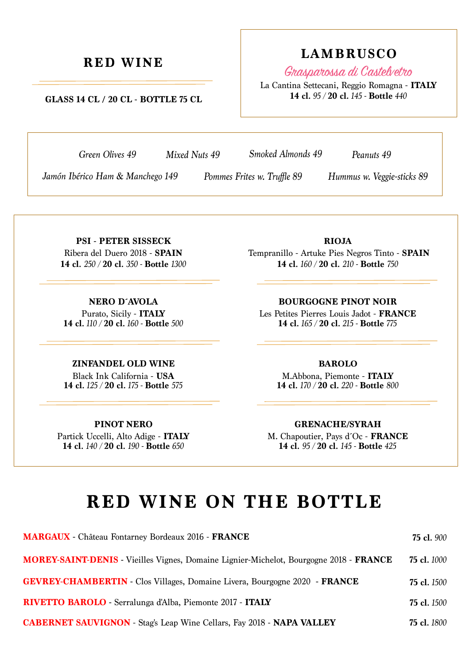#### **GLASS 14 CL / 20 CL - BOTTLE 75 CL**

# **RED WINE LAMBRUSCO**

Grasparossa di Castelvetro

La Cantina Settecani, Reggio Romagna - **ITALY 14 cl.** *95 /* **20 cl.** *145 -* **Bottle** *440*

*Mixed Nuts 49*

*Green Olives 49 Smoked Almonds 49 Peanuts 49*

*Jamón Ibérico Ham & Manchego 149 Pommes Frites w. Truffle 89 Hummus w. Veggie-sticks 89* 

*Pommes Frites w. Truffle 89*

Ribera del Duero 2018 - **SPAIN 14 cl.** *250 /* **20 cl.** *350 -* **Bottle** *1300* **PSI - PETER SISSECK**

Purato, Sicily - **ITALY 14 cl.** *110 /* **20 cl.** *160 -* **Bottle** *500* **NERO D´AVOLA**

#### **ZINFANDEL OLD WINE**

**14 cl.** *125 /* **20 cl.** *175 -* **Bottle** *575* Black Ink California - **USA**

#### **PINOT NERO**

**14 cl.** *140 /* **20 cl.** *190 -* **Bottle** *650* Partick Uccelli, Alto Adige - **ITALY**

**14 cl.** *160 /* **20 cl.** *210 -* **Bottle** *750* Tempranillo - Artuke Pies Negros Tinto - **SPAIN RIOJA**

Les Petites Pierres Louis Jadot - **FRANCE BOURGOGNE PINOT NOIR**

**14 cl.** *165 /* **20 cl.** *215 -* **Bottle** *775*

#### **BAROLO**

**14 cl.** *170 /* **20 cl.** *220 -* **Bottle** *800* M.Abbona, Piemonte - **ITALY**

#### **GRENACHE/SYRAH**

**14 cl.** *95 /* **20 cl.** *145 -* **Bottle** *425* M. Chapoutier, Pays d´Oc - **FRANCE**

## **RED WINE ON THE BOTTLE**

| <b>MARGAUX</b> - Château Fontarney Bordeaux 2016 - FRANCE                                     | <b>75 cl.</b> 900  |
|-----------------------------------------------------------------------------------------------|--------------------|
| <b>MOREY-SAINT-DENIS</b> - Vieilles Vignes, Domaine Lignier-Michelot, Bourgogne 2018 - FRANCE | <b>75 cl.</b> 1000 |
| <b>GEVREY-CHAMBERTIN</b> - Clos Villages, Domaine Livera, Bourgogne 2020 - FRANCE             | <b>75 cl.</b> 1500 |
| RIVETTO BAROLO - Serralunga d'Alba, Piemonte 2017 - ITALY                                     | <b>75 cl.</b> 1500 |
| <b>CABERNET SAUVIGNON</b> - Stag's Leap Wine Cellars, Fay 2018 - <b>NAPA VALLEY</b>           | <b>75 cl.</b> 1800 |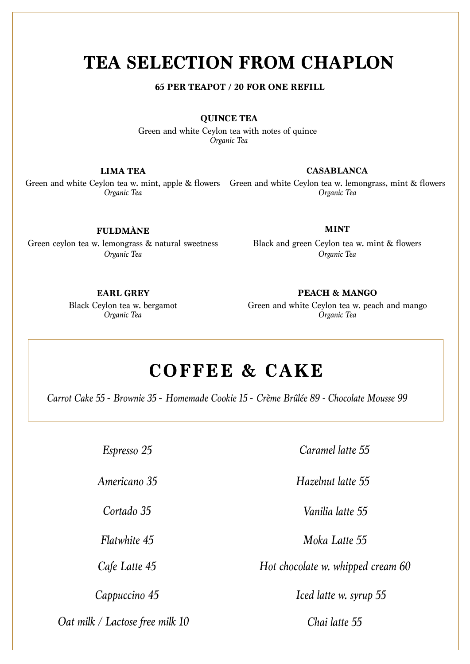### **TEA SELECTION FROM CHAPLON**

**65 PER TEAPOT / 20 FOR ONE REFILL**

**QUINCE TEA**

*Organic Tea* Green and white Ceylon tea with notes of quince

#### **LIMA TEA**

*Organic Tea*

#### **CASABLANCA**

*Organic Tea* Green and white Ceylon tea w. mint, apple & flowers Green and white Ceylon tea w. lemongrass, mint & flowers

#### **FULDMÅNE**

Green ceylon tea w. lemongrass & natural sweetness *Organic Tea*

#### **MINT**

*Organic Tea* Black and green Ceylon tea w. mint & flowers

#### **EARL GREY**

*Organic Tea* Black Ceylon tea w. bergamot

*Organic Tea* Green and white Ceylon tea w. peach and mango **PEACH & MANGO**

### **COFFEE & CAKE**

*Carrot Cake 55* **-** *Brownie 35* **-** *Homemade Cookie 15* **-** *Crème Brûlée 89 - Chocolate Mousse 99*

*Espresso 25*

*Americano 35*

*Cortado 35*

*Flatwhite 45*

*Cafe Latte 45*

*Oat milk / Lactose free milk 10 Chai latte 55*

*Caramel latte 55*

*Hazelnut latte 55*

*Vanilia latte 55*

*Moka Latte 55*

*Hot chocolate w. whipped cream 60*

*Cappuccino 45 Iced latte w. syrup 55*